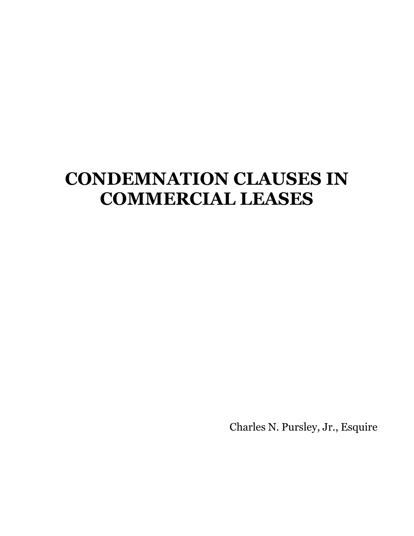# **CONDEMNATION CLAUSES IN COMMERCIAL LEASES**

Charles N. Pursley, Jr., Esquire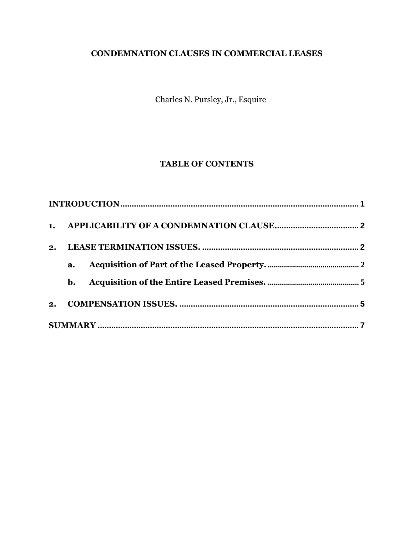# **CONDEMNATION CLAUSES IN COMMERCIAL LEASES**

Charles N. Pursley, Jr., Esquire

# **TABLE OF CONTENTS**

| 2. |                |  |
|----|----------------|--|
|    | a.             |  |
|    | $\mathbf{b}$ . |  |
| 2. |                |  |
|    |                |  |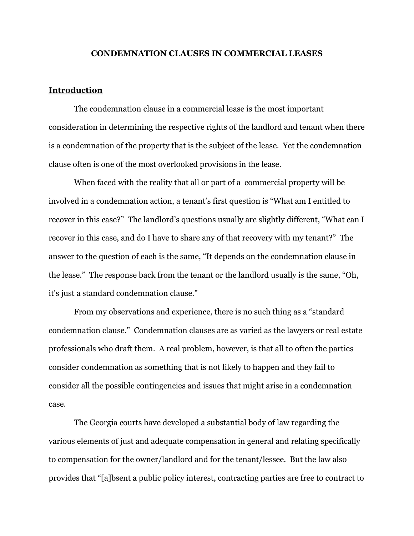#### **CONDEMNATION CLAUSES IN COMMERCIAL LEASES**

### <span id="page-2-0"></span>**Introduction**

The condemnation clause in a commercial lease is the most important consideration in determining the respective rights of the landlord and tenant when there is a condemnation of the property that is the subject of the lease. Yet the condemnation clause often is one of the most overlooked provisions in the lease.

When faced with the reality that all or part of a commercial property will be involved in a condemnation action, a tenant's first question is "What am I entitled to recover in this case?" The landlord's questions usually are slightly different, "What can I recover in this case, and do I have to share any of that recovery with my tenant?" The answer to the question of each is the same, "It depends on the condemnation clause in the lease." The response back from the tenant or the landlord usually is the same, "Oh, it's just a standard condemnation clause."

From my observations and experience, there is no such thing as a "standard condemnation clause." Condemnation clauses are as varied as the lawyers or real estate professionals who draft them. A real problem, however, is that all to often the parties consider condemnation as something that is not likely to happen and they fail to consider all the possible contingencies and issues that might arise in a condemnation case.

The Georgia courts have developed a substantial body of law regarding the various elements of just and adequate compensation in general and relating specifically to compensation for the owner/landlord and for the tenant/lessee. But the law also provides that "[a]bsent a public policy interest, contracting parties are free to contract to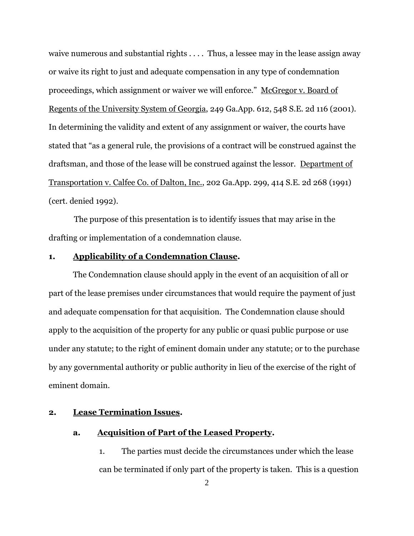waive numerous and substantial rights . . . . Thus, a lessee may in the lease assign away or waive its right to just and adequate compensation in any type of condemnation proceedings, which assignment or waiver we will enforce." McGregor v. Board of Regents of the University System of Georgia, 249 Ga.App. 612, 548 S.E. 2d 116 (2001). In determining the validity and extent of any assignment or waiver, the courts have stated that "as a general rule, the provisions of a contract will be construed against the draftsman, and those of the lease will be construed against the lessor. Department of Transportation v. Calfee Co. of Dalton, Inc., 202 Ga.App. 299, 414 S.E. 2d 268 (1991) (cert. denied 1992).

The purpose of this presentation is to identify issues that may arise in the drafting or implementation of a condemnation clause.

# <span id="page-3-0"></span>**1. Applicability of a Condemnation Clause.**

The Condemnation clause should apply in the event of an acquisition of all or part of the lease premises under circumstances that would require the payment of just and adequate compensation for that acquisition. The Condemnation clause should apply to the acquisition of the property for any public or quasi public purpose or use under any statute; to the right of eminent domain under any statute; or to the purchase by any governmental authority or public authority in lieu of the exercise of the right of eminent domain.

#### <span id="page-3-2"></span><span id="page-3-1"></span>**2. Lease Termination Issues.**

# **a. Acquisition of Part of the Leased Property.**

1. The parties must decide the circumstances under which the lease can be terminated if only part of the property is taken. This is a question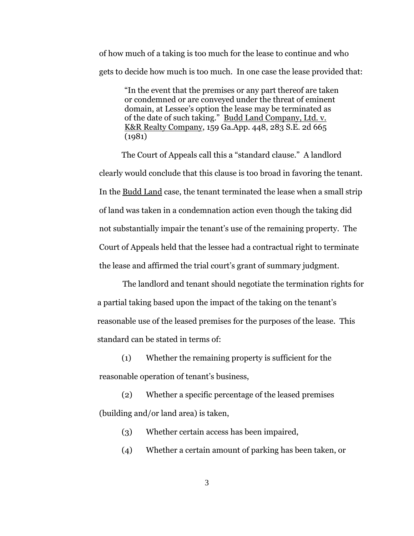of how much of a taking is too much for the lease to continue and who gets to decide how much is too much. In one case the lease provided that:

"In the event that the premises or any part thereof are taken or condemned or are conveyed under the threat of eminent domain, at Lessee's option the lease may be terminated as of the date of such taking." Budd Land Company, Ltd. v. K&R Realty Company, 159 Ga.App. 448, 283 S.E. 2d 665 (1981)

The Court of Appeals call this a "standard clause." A landlord clearly would conclude that this clause is too broad in favoring the tenant. In the Budd Land case, the tenant terminated the lease when a small strip of land was taken in a condemnation action even though the taking did not substantially impair the tenant's use of the remaining property. The Court of Appeals held that the lessee had a contractual right to terminate the lease and affirmed the trial court's grant of summary judgment.

The landlord and tenant should negotiate the termination rights for a partial taking based upon the impact of the taking on the tenant's reasonable use of the leased premises for the purposes of the lease. This standard can be stated in terms of:

(1) Whether the remaining property is sufficient for the reasonable operation of tenant's business,

(2) Whether a specific percentage of the leased premises (building and/or land area) is taken,

- (3) Whether certain access has been impaired,
- (4) Whether a certain amount of parking has been taken, or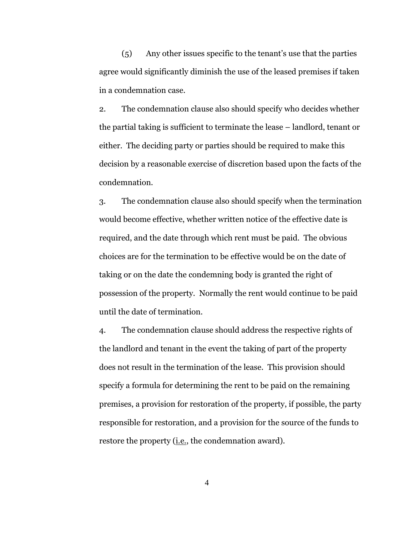(5) Any other issues specific to the tenant's use that the parties agree would significantly diminish the use of the leased premises if taken in a condemnation case.

2. The condemnation clause also should specify who decides whether the partial taking is sufficient to terminate the lease – landlord, tenant or either. The deciding party or parties should be required to make this decision by a reasonable exercise of discretion based upon the facts of the condemnation.

3. The condemnation clause also should specify when the termination would become effective, whether written notice of the effective date is required, and the date through which rent must be paid. The obvious choices are for the termination to be effective would be on the date of taking or on the date the condemning body is granted the right of possession of the property. Normally the rent would continue to be paid until the date of termination.

4. The condemnation clause should address the respective rights of the landlord and tenant in the event the taking of part of the property does not result in the termination of the lease. This provision should specify a formula for determining the rent to be paid on the remaining premises, a provision for restoration of the property, if possible, the party responsible for restoration, and a provision for the source of the funds to restore the property (*i.e.*, the condemnation award).

4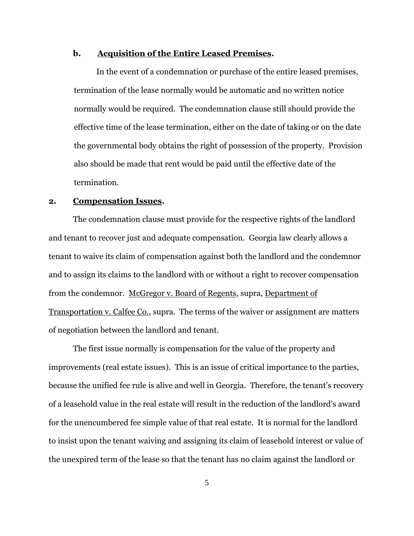# <span id="page-6-0"></span>**b. Acquisition of the Entire Leased Premises.**

In the event of a condemnation or purchase of the entire leased premises, termination of the lease normally would be automatic and no written notice normally would be required. The condemnation clause still should provide the effective time of the lease termination, either on the date of taking or on the date the governmental body obtains the right of possession of the property. Provision also should be made that rent would be paid until the effective date of the termination.

## <span id="page-6-1"></span>**2. Compensation Issues.**

The condemnation clause must provide for the respective rights of the landlord and tenant to recover just and adequate compensation. Georgia law clearly allows a tenant to waive its claim of compensation against both the landlord and the condemnor and to assign its claims to the landlord with or without a right to recover compensation from the condemnor. McGregor v. Board of Regents, supra, Department of Transportation v. Calfee Co., supra. The terms of the waiver or assignment are matters of negotiation between the landlord and tenant.

The first issue normally is compensation for the value of the property and improvements (real estate issues). This is an issue of critical importance to the parties, because the unified fee rule is alive and well in Georgia. Therefore, the tenant's recovery of a leasehold value in the real estate will result in the reduction of the landlord's award for the unencumbered fee simple value of that real estate. It is normal for the landlord to insist upon the tenant waiving and assigning its claim of leasehold interest or value of the unexpired term of the lease so that the tenant has no claim against the landlord or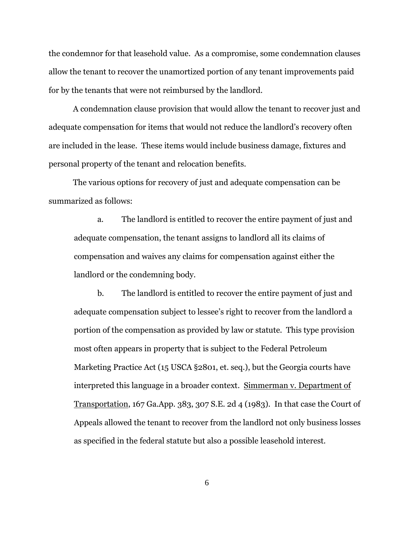the condemnor for that leasehold value. As a compromise, some condemnation clauses allow the tenant to recover the unamortized portion of any tenant improvements paid for by the tenants that were not reimbursed by the landlord.

A condemnation clause provision that would allow the tenant to recover just and adequate compensation for items that would not reduce the landlord's recovery often are included in the lease. These items would include business damage, fixtures and personal property of the tenant and relocation benefits.

The various options for recovery of just and adequate compensation can be summarized as follows:

a. The landlord is entitled to recover the entire payment of just and adequate compensation, the tenant assigns to landlord all its claims of compensation and waives any claims for compensation against either the landlord or the condemning body.

b. The landlord is entitled to recover the entire payment of just and adequate compensation subject to lessee's right to recover from the landlord a portion of the compensation as provided by law or statute. This type provision most often appears in property that is subject to the Federal Petroleum Marketing Practice Act (15 USCA §2801, et. seq.), but the Georgia courts have interpreted this language in a broader context. Simmerman v. Department of Transportation, 167 Ga.App. 383, 307 S.E. 2d 4 (1983). In that case the Court of Appeals allowed the tenant to recover from the landlord not only business losses as specified in the federal statute but also a possible leasehold interest.

6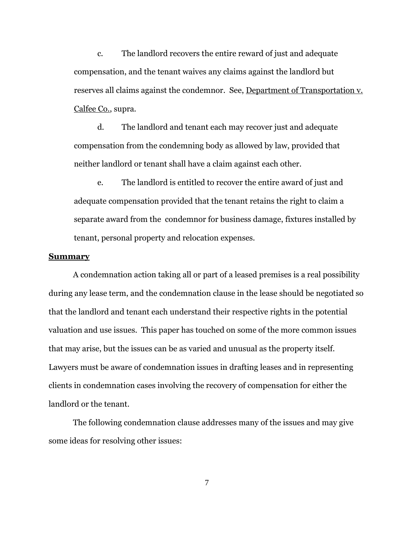c. The landlord recovers the entire reward of just and adequate compensation, and the tenant waives any claims against the landlord but reserves all claims against the condemnor. See, Department of Transportation v. Calfee Co., supra.

d. The landlord and tenant each may recover just and adequate compensation from the condemning body as allowed by law, provided that neither landlord or tenant shall have a claim against each other.

e. The landlord is entitled to recover the entire award of just and adequate compensation provided that the tenant retains the right to claim a separate award from the condemnor for business damage, fixtures installed by tenant, personal property and relocation expenses.

#### <span id="page-8-0"></span>**Summary**

A condemnation action taking all or part of a leased premises is a real possibility during any lease term, and the condemnation clause in the lease should be negotiated so that the landlord and tenant each understand their respective rights in the potential valuation and use issues. This paper has touched on some of the more common issues that may arise, but the issues can be as varied and unusual as the property itself. Lawyers must be aware of condemnation issues in drafting leases and in representing clients in condemnation cases involving the recovery of compensation for either the landlord or the tenant.

The following condemnation clause addresses many of the issues and may give some ideas for resolving other issues:

7